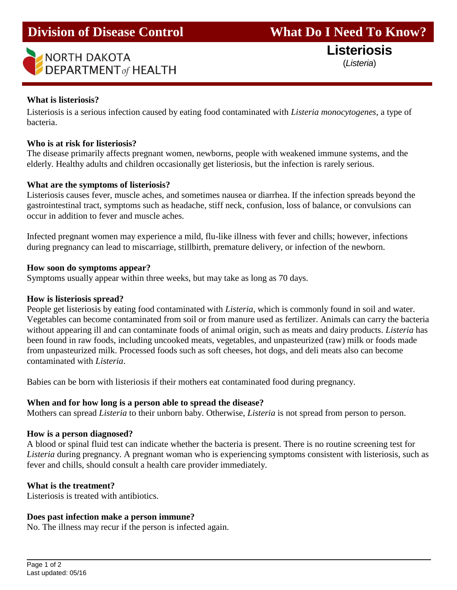# **EXECTED**<br> **DEPARTMENT**<sub>of</sub> HEALTH (*Listeria*)

**Listeriosis**

# **What is listeriosis?**

l

Listeriosis is a serious infection caused by eating food contaminated with *Listeria monocytogenes*, a type of bacteria.

### **Who is at risk for listeriosis?**

The disease primarily affects pregnant women, newborns, people with weakened immune systems, and the elderly. Healthy adults and children occasionally get listeriosis, but the infection is rarely serious.

#### **What are the symptoms of listeriosis?**

Listeriosis causes fever, muscle aches, and sometimes nausea or diarrhea. If the infection spreads beyond the gastrointestinal tract, symptoms such as headache, stiff neck, confusion, loss of balance, or convulsions can occur in addition to fever and muscle aches.

Infected pregnant women may experience a mild, flu-like illness with fever and chills; however, infections during pregnancy can lead to miscarriage, stillbirth, premature delivery, or infection of the newborn.

#### **How soon do symptoms appear?**

Symptoms usually appear within three weeks, but may take as long as 70 days.

#### **How is listeriosis spread?**

People get listeriosis by eating food contaminated with *Listeria*, which is commonly found in soil and water. Vegetables can become contaminated from soil or from manure used as fertilizer. Animals can carry the bacteria without appearing ill and can contaminate foods of animal origin, such as meats and dairy products. *Listeria* has been found in raw foods, including uncooked meats, vegetables, and unpasteurized (raw) milk or foods made from unpasteurized milk. Processed foods such as soft cheeses, hot dogs, and deli meats also can become contaminated with *Listeria*.

Babies can be born with listeriosis if their mothers eat contaminated food during pregnancy.

#### **When and for how long is a person able to spread the disease?**

Mothers can spread *Listeria* to their unborn baby. Otherwise, *Listeria* is not spread from person to person.

#### **How is a person diagnosed?**

A blood or spinal fluid test can indicate whether the bacteria is present. There is no routine screening test for *Listeria* during pregnancy. A pregnant woman who is experiencing symptoms consistent with listeriosis, such as fever and chills, should consult a health care provider immediately.

#### **What is the treatment?**

Listeriosis is treated with antibiotics.

#### **Does past infection make a person immune?**

No. The illness may recur if the person is infected again.